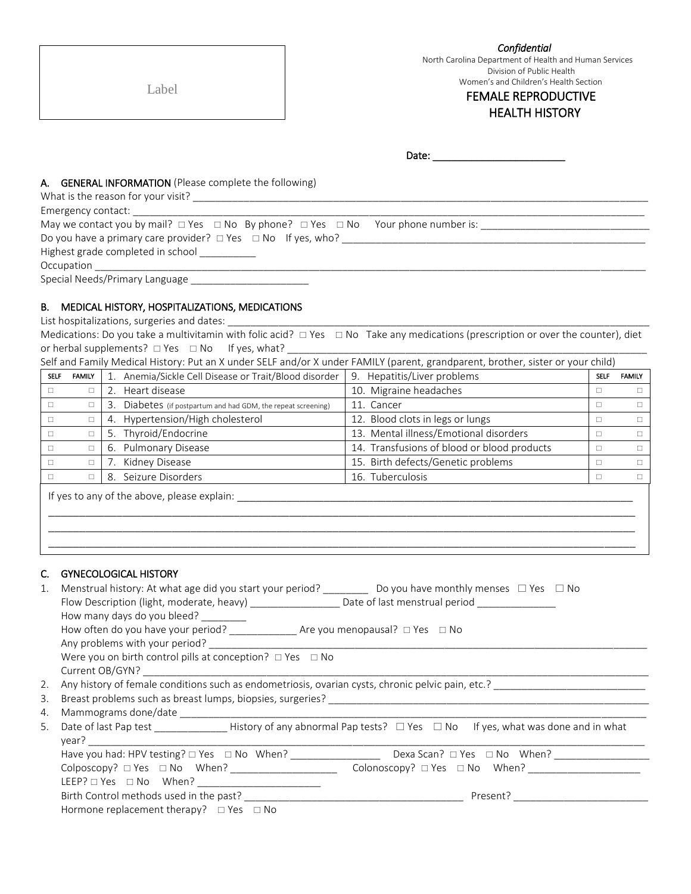Label

 *Confidential*  North Carolina Department of Health and Human Services Division of Public Health

Women's and Children's Health Section

# FEMALE REPRODUCTIVE HEALTH HISTORY

Date: \_\_\_\_\_\_\_\_\_\_\_\_\_\_\_\_\_\_\_\_\_\_\_\_

#### A. GENERAL INFORMATION (Please complete the following)

| What is the reason for your visit?                                                                    |  |
|-------------------------------------------------------------------------------------------------------|--|
| Emergency contact:                                                                                    |  |
| May we contact you by mail? $\Box$ Yes $\Box$ No By phone? $\Box$ Yes $\Box$ No Your phone number is: |  |
| Do you have a primary care provider? $\Box$ Yes $\Box$ No If yes, who?                                |  |
| Highest grade completed in school _________                                                           |  |
| Occupation <b>Designation</b>                                                                         |  |
| Special Needs/Primary Language ________________                                                       |  |

#### B. MEDICAL HISTORY, HOSPITALIZATIONS, MEDICATIONS

List hospitalizations, surgeries and dates:

Medications: Do you take a multivitamin with folic acid?  $\Box$  Yes  $\Box$  No Take any medications (prescription or over the counter), diet or herbal supplements? Yes No If yes, what? \_\_\_\_\_\_\_\_\_\_\_\_\_\_\_\_\_\_\_\_\_\_\_\_\_\_\_\_\_\_\_\_\_\_\_\_\_\_\_\_\_\_\_\_\_\_\_\_\_\_\_\_\_\_\_\_\_\_\_\_\_\_\_\_

|  | Self and Family Medical History: Put an X under SELF and/or X under FAMILY (parent, grandparent, brother, sister or your child) |  |
|--|---------------------------------------------------------------------------------------------------------------------------------|--|
|  |                                                                                                                                 |  |

| <b>SELF</b> | <b>FAMILY</b> | 1. Anemia/Sickle Cell Disease or Trait/Blood disorder            | 9. Hepatitis/Liver problems                 | <b>SELF</b> | <b>FAMILY</b> |
|-------------|---------------|------------------------------------------------------------------|---------------------------------------------|-------------|---------------|
|             | $\Box$        | Heart disease<br>2.                                              | 10. Migraine headaches                      | $\Box$      |               |
|             | $\Box$        | Diabetes (if postpartum and had GDM, the repeat screening)<br>3. | 11. Cancer                                  | $\Box$      |               |
|             | $\Box$        | Hypertension/High cholesterol<br>4.                              | 12. Blood clots in legs or lungs            | $\Box$      |               |
|             | $\Box$        | 5. Thyroid/Endocrine                                             | 13. Mental illness/Emotional disorders      | $\Box$      |               |
|             | $\Box$        | 6. Pulmonary Disease                                             | 14. Transfusions of blood or blood products | $\Box$      |               |
|             | $\Box$        | Kidney Disease                                                   | 15. Birth defects/Genetic problems          | $\Box$      |               |
|             | $\Box$        | Seizure Disorders<br>8.                                          | 16. Tuberculosis                            | $\Box$      |               |
|             |               | If yes to any of the above, please explain:                      |                                             |             |               |

### C. GYNECOLOGICAL HISTORY

| 1. | How many days do you bleed?                                                                                                                                                                                                                                                                                                                                       |  |  |  |  |  |  |
|----|-------------------------------------------------------------------------------------------------------------------------------------------------------------------------------------------------------------------------------------------------------------------------------------------------------------------------------------------------------------------|--|--|--|--|--|--|
|    |                                                                                                                                                                                                                                                                                                                                                                   |  |  |  |  |  |  |
|    | Any problems with your period? The same of the same of the same of the same of the same of the same of the same of the same of the same of the same of the same of the same of the same of the same of the same of the same of                                                                                                                                    |  |  |  |  |  |  |
|    | Were you on birth control pills at conception? $\Box$ Yes $\Box$ No                                                                                                                                                                                                                                                                                               |  |  |  |  |  |  |
|    | Current OB/GYN?                                                                                                                                                                                                                                                                                                                                                   |  |  |  |  |  |  |
| 2. | Any history of female conditions such as endometriosis, ovarian cysts, chronic pelvic pain, etc.?                                                                                                                                                                                                                                                                 |  |  |  |  |  |  |
| 3. | Breast problems such as breast lumps, biopsies, surgeries?<br>The manufacture of the manufacture of the manufacture of the manufacture of the manufacture of the manufactur                                                                                                                                                                                       |  |  |  |  |  |  |
| 4. |                                                                                                                                                                                                                                                                                                                                                                   |  |  |  |  |  |  |
| 5. | Date of last Pap test <b>EXECUTE:</b> History of any abnormal Pap tests? $\Box$ Yes $\Box$ No If yes, what was done and in what<br>year? The contract of the contract of the contract of the contract of the contract of the contract of the contract of the contract of the contract of the contract of the contract of the contract of the contract of the cont |  |  |  |  |  |  |
|    |                                                                                                                                                                                                                                                                                                                                                                   |  |  |  |  |  |  |
|    | Colonoscopy? $\Box$ Yes $\Box$ No When?                                                                                                                                                                                                                                                                                                                           |  |  |  |  |  |  |
|    | LEEP? □ Yes □ No  When? ____________________________                                                                                                                                                                                                                                                                                                              |  |  |  |  |  |  |
|    |                                                                                                                                                                                                                                                                                                                                                                   |  |  |  |  |  |  |
|    | Hormone replacement therapy? $\Box$ Yes $\Box$ No                                                                                                                                                                                                                                                                                                                 |  |  |  |  |  |  |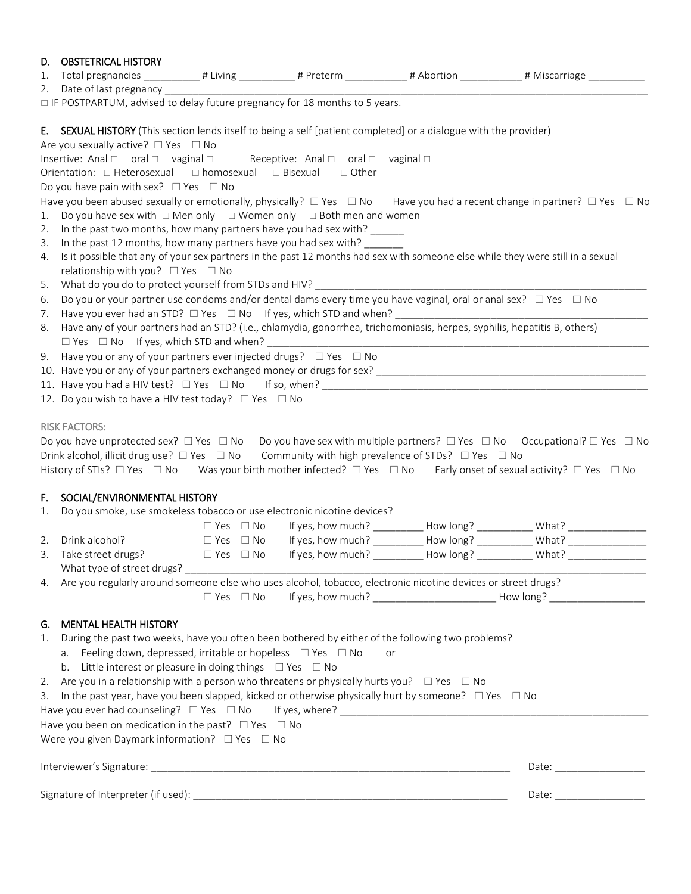| 1.                   | D. OBSTETRICAL HISTORY<br>□ IF POSTPARTUM, advised to delay future pregnancy for 18 months to 5 years.                                                                                                                                |                      |    | Total pregnancies ___________# Living ___________# Preterm ___________# Abortion __________# Miscarriage __________                                                                                                                                                            |
|----------------------|---------------------------------------------------------------------------------------------------------------------------------------------------------------------------------------------------------------------------------------|----------------------|----|--------------------------------------------------------------------------------------------------------------------------------------------------------------------------------------------------------------------------------------------------------------------------------|
|                      | E. SEXUAL HISTORY (This section lends itself to being a self [patient completed] or a dialogue with the provider)                                                                                                                     |                      |    |                                                                                                                                                                                                                                                                                |
|                      | Are you sexually active? $\Box$ Yes $\Box$ No                                                                                                                                                                                         |                      |    |                                                                                                                                                                                                                                                                                |
|                      | Insertive: Anal □ oral □ vaginal □ Receptive: Anal □ oral □ vaginal □<br>Orientation: □ Heterosexual □ homosexual □ Bisexual □ Other                                                                                                  |                      |    |                                                                                                                                                                                                                                                                                |
|                      | Do you have pain with sex? $\Box$ Yes $\Box$ No                                                                                                                                                                                       |                      |    |                                                                                                                                                                                                                                                                                |
| 1.<br>2.<br>3.<br>4. | Do you have sex with $\Box$ Men only $\Box$ Women only $\Box$ Both men and women<br>In the past two months, how many partners have you had sex with? ______<br>In the past 12 months, how many partners have you had sex with? ______ |                      |    | Have you been abused sexually or emotionally, physically? $\Box$ Yes $\Box$ No Have you had a recent change in partner? $\Box$ Yes $\Box$ No<br>Is it possible that any of your sex partners in the past 12 months had sex with someone else while they were still in a sexual |
|                      | relationship with you? $\Box$ Yes $\Box$ No                                                                                                                                                                                           |                      |    |                                                                                                                                                                                                                                                                                |
| 5.                   | What do you do to protect yourself from STDs and HIV?                                                                                                                                                                                 |                      |    |                                                                                                                                                                                                                                                                                |
| 6.                   | Do you or your partner use condoms and/or dental dams every time you have vaginal, oral or anal sex? $\Box$ Yes $\Box$ No                                                                                                             |                      |    |                                                                                                                                                                                                                                                                                |
| 7.                   | Have you ever had an STD? □ Yes □ No If yes, which STD and when? ______________________                                                                                                                                               |                      |    |                                                                                                                                                                                                                                                                                |
| 8.                   | Have any of your partners had an STD? (i.e., chlamydia, gonorrhea, trichomoniasis, herpes, syphilis, hepatitis B, others)<br>$\square$ Yes $\square$ No If yes, which STD and when?                                                   |                      |    |                                                                                                                                                                                                                                                                                |
|                      | 9. Have you or any of your partners ever injected drugs? $\Box$ Yes $\Box$ No                                                                                                                                                         |                      |    |                                                                                                                                                                                                                                                                                |
|                      |                                                                                                                                                                                                                                       |                      |    |                                                                                                                                                                                                                                                                                |
|                      |                                                                                                                                                                                                                                       |                      |    |                                                                                                                                                                                                                                                                                |
|                      | 12. Do you wish to have a HIV test today? □ Yes □ No                                                                                                                                                                                  |                      |    |                                                                                                                                                                                                                                                                                |
|                      |                                                                                                                                                                                                                                       |                      |    |                                                                                                                                                                                                                                                                                |
|                      | <b>RISK FACTORS:</b>                                                                                                                                                                                                                  |                      |    |                                                                                                                                                                                                                                                                                |
|                      |                                                                                                                                                                                                                                       |                      |    | Do you have unprotected sex? $\Box$ Yes $\Box$ No Do you have sex with multiple partners? $\Box$ Yes $\Box$ No Occupational? $\Box$ Yes $\Box$ No                                                                                                                              |
|                      | Drink alcohol, illicit drug use? $\Box$ Yes $\Box$ No Community with high prevalence of STDs? $\Box$ Yes $\Box$ No                                                                                                                    |                      |    |                                                                                                                                                                                                                                                                                |
|                      |                                                                                                                                                                                                                                       |                      |    | History of STIs? $\Box$ Yes $\Box$ No Was your birth mother infected? $\Box$ Yes $\Box$ No Early onset of sexual activity? $\Box$ Yes $\Box$ No                                                                                                                                |
|                      |                                                                                                                                                                                                                                       |                      |    |                                                                                                                                                                                                                                                                                |
| F.                   | SOCIAL/ENVIRONMENTAL HISTORY                                                                                                                                                                                                          |                      |    |                                                                                                                                                                                                                                                                                |
| 1.                   | Do you smoke, use smokeless tobacco or use electronic nicotine devices?                                                                                                                                                               |                      |    |                                                                                                                                                                                                                                                                                |
|                      |                                                                                                                                                                                                                                       |                      |    | $\Box$ Yes $\Box$ No If yes, how much? __________ How long? ___________ What? _____________                                                                                                                                                                                    |
|                      | 2. Drink alcohol?                                                                                                                                                                                                                     |                      |    | □ Yes □ No If yes, how much? __________ How long? ___________ What? ____________                                                                                                                                                                                               |
|                      |                                                                                                                                                                                                                                       |                      |    | 3. Take street drugs?<br>$\square$ Yes $\square$ No If yes, how much? _________ How long? ________ What? __________                                                                                                                                                            |
|                      |                                                                                                                                                                                                                                       |                      |    |                                                                                                                                                                                                                                                                                |
|                      | 4. Are you regularly around someone else who uses alcohol, tobacco, electronic nicotine devices or street drugs?                                                                                                                      |                      |    |                                                                                                                                                                                                                                                                                |
|                      |                                                                                                                                                                                                                                       | $\Box$ Yes $\Box$ No |    | If yes, how much? __________________________________ How long? _________________                                                                                                                                                                                               |
|                      | G. MENTAL HEALTH HISTORY                                                                                                                                                                                                              |                      |    |                                                                                                                                                                                                                                                                                |
|                      | 1. During the past two weeks, have you often been bothered by either of the following two problems?<br>a. Feeling down, depressed, irritable or hopeless $\Box$ Yes $\Box$ No                                                         |                      | or |                                                                                                                                                                                                                                                                                |
|                      | b. Little interest or pleasure in doing things $\Box$ Yes $\Box$ No                                                                                                                                                                   |                      |    |                                                                                                                                                                                                                                                                                |
| 2.                   | Are you in a relationship with a person who threatens or physically hurts you? $\Box$ Yes $\Box$ No                                                                                                                                   |                      |    |                                                                                                                                                                                                                                                                                |
|                      | 3. In the past year, have you been slapped, kicked or otherwise physically hurt by someone? □ Yes □ No                                                                                                                                |                      |    |                                                                                                                                                                                                                                                                                |
|                      |                                                                                                                                                                                                                                       |                      |    |                                                                                                                                                                                                                                                                                |
|                      | Have you been on medication in the past? $\Box$ Yes $\Box$ No                                                                                                                                                                         |                      |    |                                                                                                                                                                                                                                                                                |
|                      | Were you given Daymark information? $\Box$ Yes $\Box$ No                                                                                                                                                                              |                      |    |                                                                                                                                                                                                                                                                                |
|                      |                                                                                                                                                                                                                                       |                      |    |                                                                                                                                                                                                                                                                                |
|                      |                                                                                                                                                                                                                                       |                      |    |                                                                                                                                                                                                                                                                                |
|                      |                                                                                                                                                                                                                                       |                      |    |                                                                                                                                                                                                                                                                                |